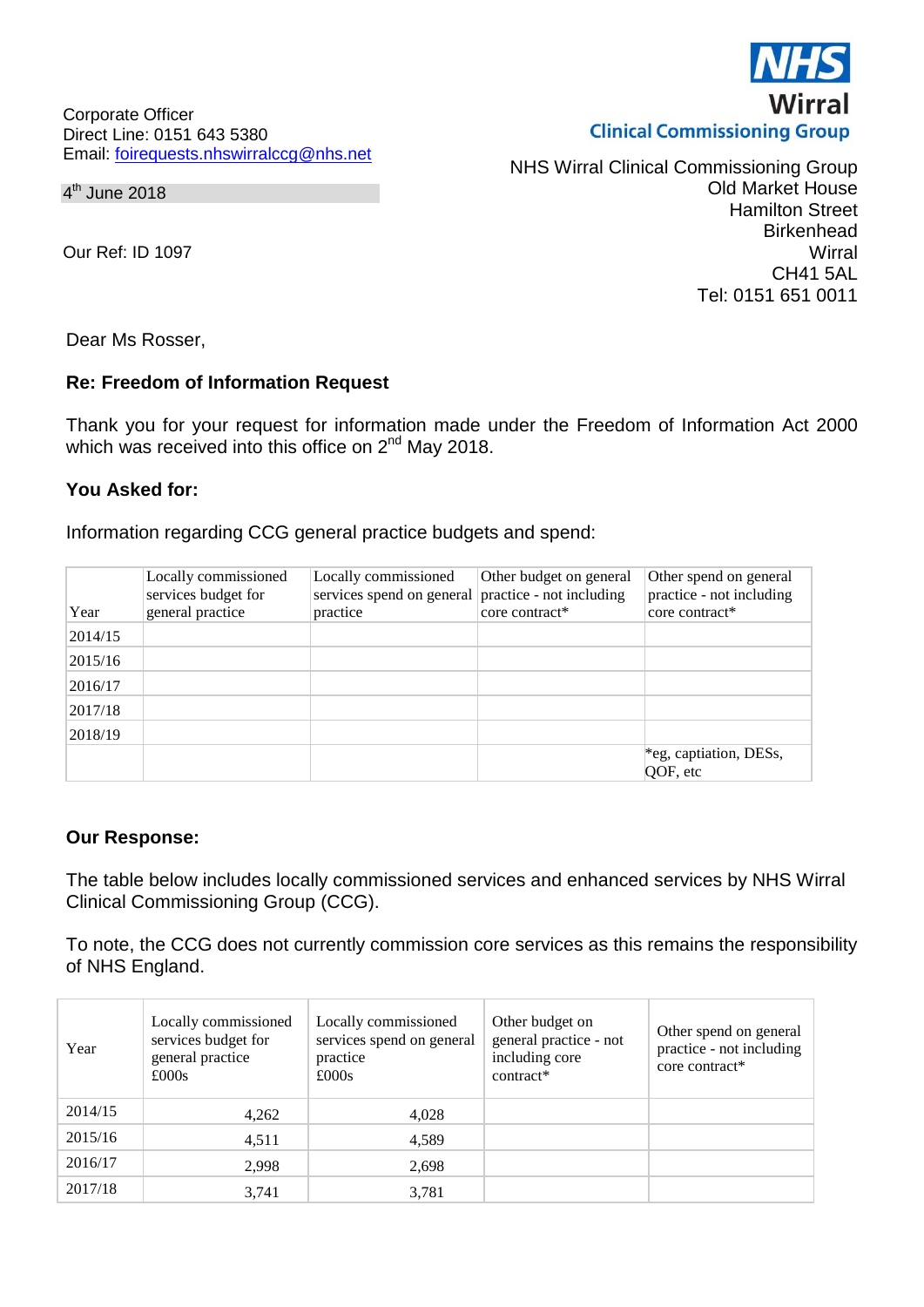Corporate Officer Direct Line: 0151 643 5380 Email: [foirequests.nhswirralccg@nhs.net](mailto:foirequests.nhswirralccg@nhs.net)

### $4<sup>th</sup>$  June 2018

Our Ref: ID 1097

NHS Wirral Clinical Commissioning Group Old Market House Hamilton Street **Birkenhead Wirral** CH41 5AL Tel: 0151 651 0011

Dear Ms Rosser,

# **Re: Freedom of Information Request**

Thank you for your request for information made under the Freedom of Information Act 2000 which was received into this office on 2<sup>nd</sup> May 2018.

# **You Asked for:**

Information regarding CCG general practice budgets and spend:

| Year    | Locally commissioned<br>services budget for<br>general practice | Locally commissioned<br>services spend on general practice - not including<br>practice | Other budget on general<br>core contract* | Other spend on general<br>practice - not including<br>core contract* |
|---------|-----------------------------------------------------------------|----------------------------------------------------------------------------------------|-------------------------------------------|----------------------------------------------------------------------|
| 2014/15 |                                                                 |                                                                                        |                                           |                                                                      |
| 2015/16 |                                                                 |                                                                                        |                                           |                                                                      |
| 2016/17 |                                                                 |                                                                                        |                                           |                                                                      |
| 2017/18 |                                                                 |                                                                                        |                                           |                                                                      |
| 2018/19 |                                                                 |                                                                                        |                                           |                                                                      |
|         |                                                                 |                                                                                        |                                           | *eg, captiation, DESs,<br>QOF, etc                                   |

# **Our Response:**

The table below includes locally commissioned services and enhanced services by NHS Wirral Clinical Commissioning Group (CCG).

To note, the CCG does not currently commission core services as this remains the responsibility of NHS England.

| Year    | Locally commissioned<br>services budget for<br>general practice<br>£000s | Locally commissioned<br>services spend on general<br>practice<br>£000s | Other budget on<br>general practice - not<br>including core<br>contract* | Other spend on general<br>practice - not including<br>core contract* |
|---------|--------------------------------------------------------------------------|------------------------------------------------------------------------|--------------------------------------------------------------------------|----------------------------------------------------------------------|
| 2014/15 | 4,262                                                                    | 4,028                                                                  |                                                                          |                                                                      |
| 2015/16 | 4,511                                                                    | 4,589                                                                  |                                                                          |                                                                      |
| 2016/17 | 2,998                                                                    | 2,698                                                                  |                                                                          |                                                                      |
| 2017/18 | 3,741                                                                    | 3,781                                                                  |                                                                          |                                                                      |